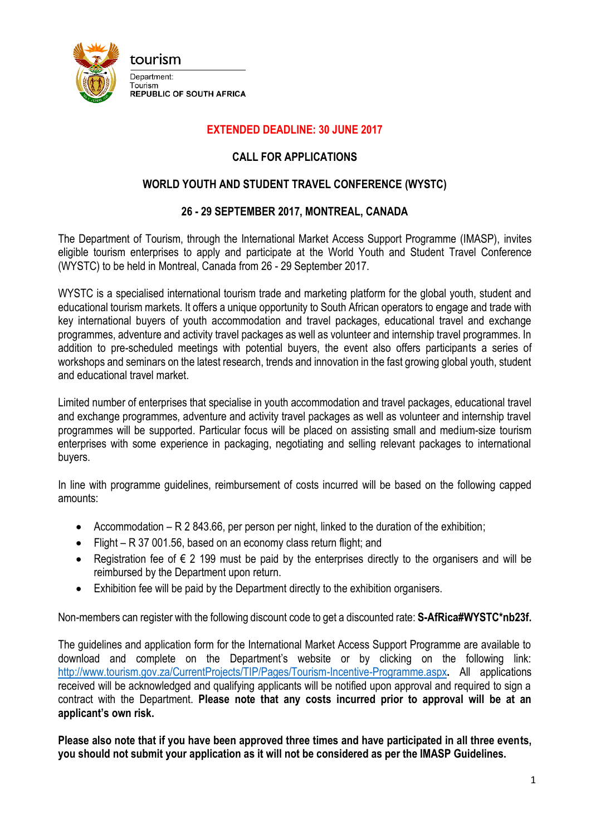

## **EXTENDED DEADLINE: 30 JUNE 2017**

## **CALL FOR APPLICATIONS**

## **WORLD YOUTH AND STUDENT TRAVEL CONFERENCE (WYSTC)**

## **26 - 29 SEPTEMBER 2017, MONTREAL, CANADA**

The Department of Tourism, through the International Market Access Support Programme (IMASP), invites eligible tourism enterprises to apply and participate at the World Youth and Student Travel Conference (WYSTC) to be held in Montreal, Canada from 26 - 29 September 2017.

WYSTC is a specialised international tourism trade and marketing platform for the global youth, student and educational tourism markets. It offers a unique opportunity to South African operators to engage and trade with key international buyers of youth accommodation and travel packages, educational travel and exchange programmes, adventure and activity travel packages as well as volunteer and internship travel programmes. In addition to pre-scheduled meetings with potential buyers, the event also offers participants a series of workshops and seminars on the latest research, trends and innovation in the fast growing global youth, student and educational travel market.

Limited number of enterprises that specialise in youth accommodation and travel packages, educational travel and exchange programmes, adventure and activity travel packages as well as volunteer and internship travel programmes will be supported. Particular focus will be placed on assisting small and medium-size tourism enterprises with some experience in packaging, negotiating and selling relevant packages to international buyers.

In line with programme guidelines, reimbursement of costs incurred will be based on the following capped amounts:

- Accommodation R 2 843.66, per person per night, linked to the duration of the exhibition;
- Flight R 37 001.56, based on an economy class return flight; and
- Registration fee of  $∈$  2 199 must be paid by the enterprises directly to the organisers and will be reimbursed by the Department upon return.
- Exhibition fee will be paid by the Department directly to the exhibition organisers.

Non-members can register with the following discount code to get a discounted rate: **S-AfRica#WYSTC\*nb23f.**

The guidelines and application form for the International Market Access Support Programme are available to download and complete on the Department's website or by clicking on the following link: <http://www.tourism.gov.za/CurrentProjects/TIP/Pages/Tourism-Incentive-Programme.aspx>**.** All applications received will be acknowledged and qualifying applicants will be notified upon approval and required to sign a contract with the Department. **Please note that any costs incurred prior to approval will be at an applicant's own risk.**

**Please also note that if you have been approved three times and have participated in all three events, you should not submit your application as it will not be considered as per the IMASP Guidelines.**